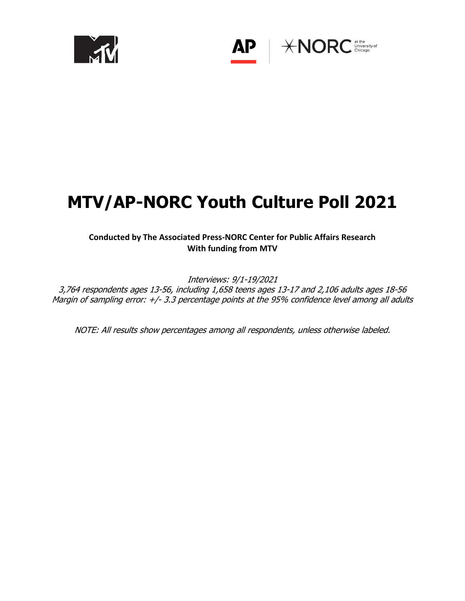

 $*NORC$ <sup>at the</sup> University of

# **MTV/AP-NORC Youth Culture Poll 2021**

**AP** 

# **Conducted by The Associated Press-NORC Center for Public Affairs Research With funding from MTV**

Interviews: 9/1-19/2021 3,764 respondents ages 13-56, including 1,658 teens ages 13-17 and 2,106 adults ages 18-56 Margin of sampling error: +/- 3.3 percentage points at the 95% confidence level among all adults

NOTE: All results show percentages among all respondents, unless otherwise labeled.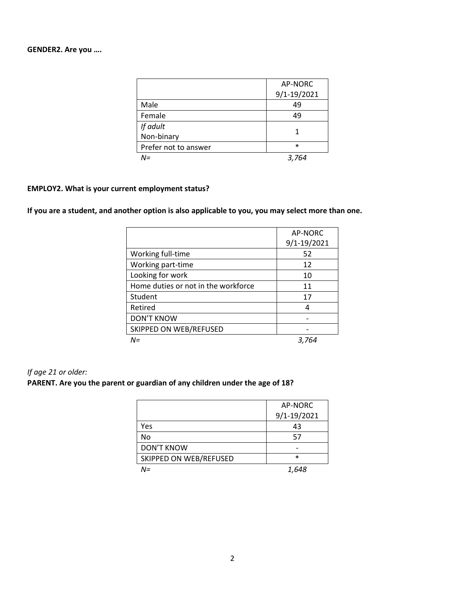## **GENDER2. Are you ….**

|                      | AP-NORC     |
|----------------------|-------------|
|                      | 9/1-19/2021 |
| Male                 | 49          |
| Female               | 49          |
| If adult             |             |
| Non-binary           |             |
| Prefer not to answer | $\ast$      |
| N=                   | 3,764       |

## **EMPLOY2. What is your current employment status?**

## **If you are a student, and another option is also applicable to you, you may select more than one.**

|                                     | AP-NORC     |
|-------------------------------------|-------------|
|                                     | 9/1-19/2021 |
| Working full-time                   | 52          |
| Working part-time                   | 12          |
| Looking for work                    | 10          |
| Home duties or not in the workforce | 11          |
| Student                             | 17          |
| Retired                             | 4           |
| <b>DON'T KNOW</b>                   |             |
| SKIPPED ON WEB/REFUSED              |             |
| N=                                  | 3,764       |

## *If age 21 or older:*

#### **PARENT. Are you the parent or guardian of any children under the age of 18?**

|                        | AP-NORC     |
|------------------------|-------------|
|                        | 9/1-19/2021 |
| Yes                    | 43          |
| No                     | 57          |
| <b>DON'T KNOW</b>      |             |
| SKIPPED ON WEB/REFUSED | $\ast$      |
| N=                     | 1.648       |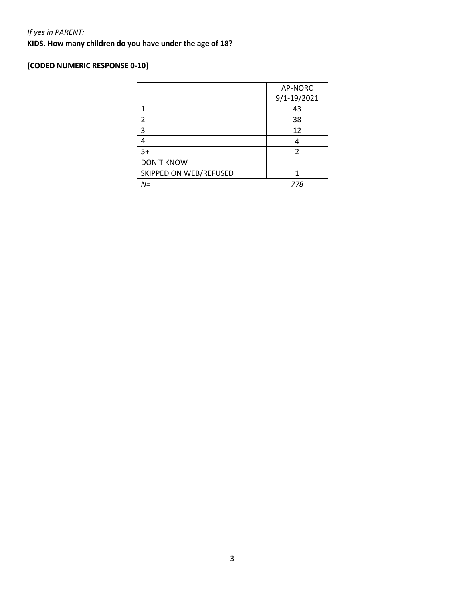# *If yes in PARENT:*

**KIDS. How many children do you have under the age of 18?**

# **[CODED NUMERIC RESPONSE 0-10]**

|                        | AP-NORC     |
|------------------------|-------------|
|                        | 9/1-19/2021 |
| 1                      | 43          |
| $\mathfrak{p}$         | 38          |
| 3                      | 12          |
|                        |             |
| $5+$                   | 2           |
| <b>DON'T KNOW</b>      |             |
| SKIPPED ON WEB/REFUSED |             |
| $N =$                  | 778         |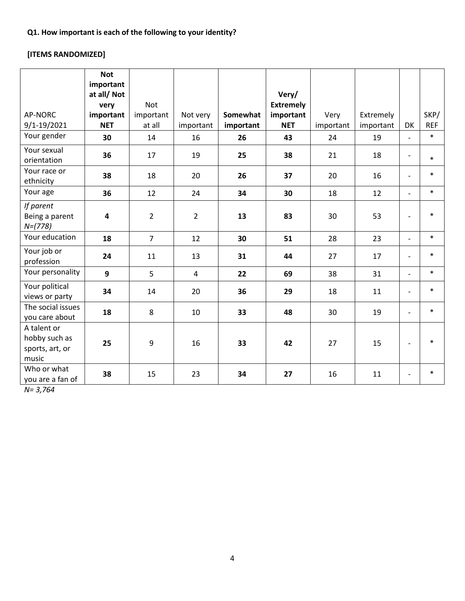# **[ITEMS RANDOMIZED]**

|                                                          | <b>Not</b><br>important<br>at all/Not<br>very | Not            |                |           | Very/<br><b>Extremely</b> |           |           |                          |            |
|----------------------------------------------------------|-----------------------------------------------|----------------|----------------|-----------|---------------------------|-----------|-----------|--------------------------|------------|
| AP-NORC                                                  | important                                     | important      | Not very       | Somewhat  | important                 | Very      | Extremely |                          | SKP/       |
| 9/1-19/2021                                              | <b>NET</b>                                    | at all         | important      | important | <b>NET</b>                | important | important | DK                       | <b>REF</b> |
| Your gender                                              | 30                                            | 14             | 16             | 26        | 43                        | 24        | 19        | $\overline{a}$           | $\ast$     |
| Your sexual<br>orientation                               | 36                                            | 17             | 19             | 25        | 38                        | 21        | 18        | $\overline{\phantom{a}}$ | $\ast$     |
| Your race or<br>ethnicity                                | 38                                            | 18             | 20             | 26        | 37                        | 20        | 16        | $\overline{\phantom{a}}$ | $\ast$     |
| Your age                                                 | 36                                            | 12             | 24             | 34        | 30                        | 18        | 12        | $\overline{\phantom{a}}$ | $\ast$     |
| If parent<br>Being a parent<br>$N=(778)$                 | $\overline{\mathbf{4}}$                       | $\overline{2}$ | $\overline{2}$ | 13        | 83                        | 30        | 53        | $\overline{\phantom{a}}$ | $\ast$     |
| Your education                                           | 18                                            | $\overline{7}$ | 12             | 30        | 51                        | 28        | 23        | $\overline{\phantom{a}}$ | $\ast$     |
| Your job or<br>profession                                | 24                                            | 11             | 13             | 31        | 44                        | 27        | 17        | $\overline{\phantom{a}}$ | $\ast$     |
| Your personality                                         | 9                                             | 5              | $\overline{4}$ | 22        | 69                        | 38        | 31        | $\blacksquare$           | $\ast$     |
| Your political<br>views or party                         | 34                                            | 14             | 20             | 36        | 29                        | 18        | 11        | $\overline{\phantom{a}}$ | $\ast$     |
| The social issues<br>you care about                      | 18                                            | 8              | 10             | 33        | 48                        | 30        | 19        | $\blacksquare$           | $\ast$     |
| A talent or<br>hobby such as<br>sports, art, or<br>music | 25                                            | 9              | 16             | 33        | 42                        | 27        | 15        | $\overline{\phantom{a}}$ | $\ast$     |
| Who or what<br>you are a fan of                          | 38                                            | 15             | 23             | 34        | 27                        | 16        | 11        | $\overline{\phantom{a}}$ | $\ast$     |

*N= 3,764*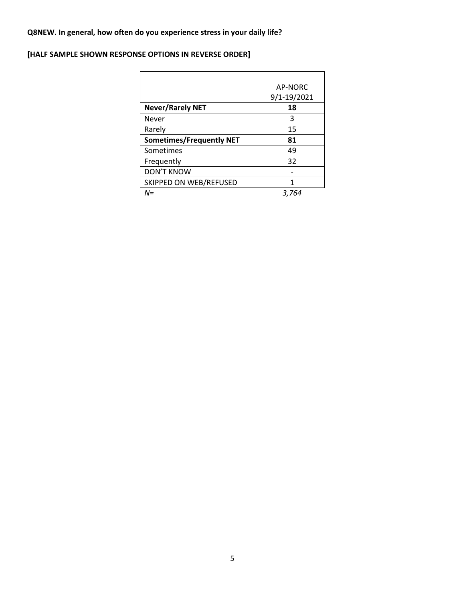# **Q8NEW. In general, how often do you experience stress in your daily life?**

# **[HALF SAMPLE SHOWN RESPONSE OPTIONS IN REVERSE ORDER]**

|                                 | AP-NORC<br>9/1-19/2021 |
|---------------------------------|------------------------|
| <b>Never/Rarely NET</b>         | 18                     |
| Never                           | 3                      |
| Rarely                          | 15                     |
| <b>Sometimes/Frequently NET</b> | 81                     |
| Sometimes                       | 49                     |
| Frequently                      | 32                     |
| <b>DON'T KNOW</b>               |                        |
| SKIPPED ON WEB/REFUSED          |                        |
| $N =$                           | 3,764                  |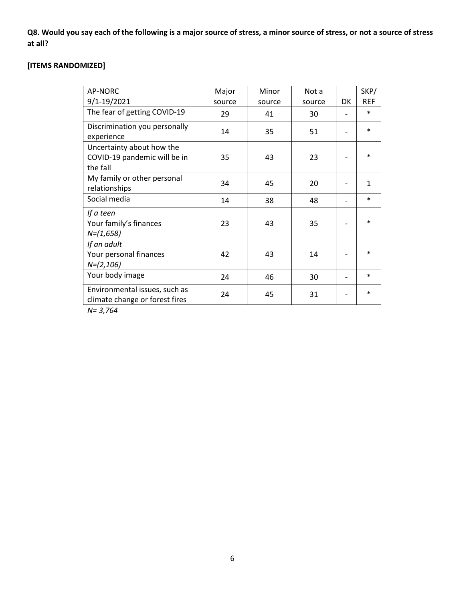**Q8. Would you say each of the following is a major source of stress, a minor source of stress, or not a source of stress at all?**

# **[ITEMS RANDOMIZED]**

| AP-NORC                                                               | Major  | Minor  | Not a  |    | SKP/         |
|-----------------------------------------------------------------------|--------|--------|--------|----|--------------|
| 9/1-19/2021                                                           | source | source | source | DK | <b>REF</b>   |
| The fear of getting COVID-19                                          | 29     | 41     | 30     |    | $\ast$       |
| Discrimination you personally<br>experience                           | 14     | 35     | 51     |    | $\ast$       |
| Uncertainty about how the<br>COVID-19 pandemic will be in<br>the fall | 35     | 43     | 23     |    | $\ast$       |
| My family or other personal<br>relationships                          | 34     | 45     | 20     |    | $\mathbf{1}$ |
| Social media                                                          | 14     | 38     | 48     |    | $\ast$       |
| If a teen<br>Your family's finances<br>$N=(1,658)$                    | 23     | 43     | 35     |    | $\ast$       |
| If an adult<br>Your personal finances<br>$N=(2,106)$                  | 42     | 43     | 14     |    | $\ast$       |
| Your body image                                                       | 24     | 46     | 30     |    | $\ast$       |
| Environmental issues, such as<br>climate change or forest fires       | 24     | 45     | 31     |    | $\ast$       |

*N= 3,764*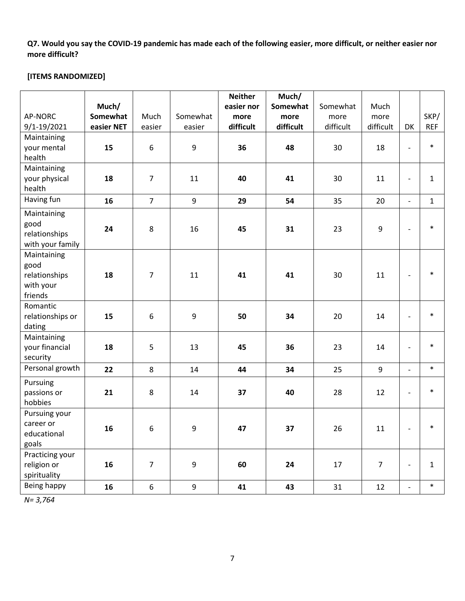**Q7. Would you say the COVID-19 pandemic has made each of the following easier, more difficult, or neither easier nor more difficult?** 

## **[ITEMS RANDOMIZED]**

|                  |            |                  |                  | <b>Neither</b> | Much/     |           |                  |                              |              |
|------------------|------------|------------------|------------------|----------------|-----------|-----------|------------------|------------------------------|--------------|
|                  | Much/      |                  |                  | easier nor     | Somewhat  | Somewhat  | Much             |                              |              |
| <b>AP-NORC</b>   | Somewhat   | Much             | Somewhat         | more           | more      | more      | more             |                              | SKP/         |
| 9/1-19/2021      | easier NET | easier           | easier           | difficult      | difficult | difficult | difficult        | DK                           | <b>REF</b>   |
| Maintaining      |            |                  |                  |                |           |           |                  |                              |              |
| your mental      | 15         | $\boldsymbol{6}$ | $\boldsymbol{9}$ | 36             | 48        | 30        | 18               | $\overline{a}$               | $\ast$       |
| health           |            |                  |                  |                |           |           |                  |                              |              |
| Maintaining      |            |                  |                  |                |           |           |                  |                              |              |
| your physical    | 18         | $\overline{7}$   | 11               | 40             | 41        | 30        | 11               | $\overline{\phantom{a}}$     | $\mathbf{1}$ |
| health           |            |                  |                  |                |           |           |                  |                              |              |
| Having fun       | 16         | $\overline{7}$   | 9                | 29             | 54        | 35        | 20               | $\overline{\phantom{a}}$     | $\mathbf{1}$ |
| Maintaining      |            |                  |                  |                |           |           |                  |                              |              |
| good             |            |                  |                  |                |           |           |                  |                              | $\ast$       |
| relationships    | 24         | 8                | 16               | 45             | 31        | 23        | $\boldsymbol{9}$ | $\overline{\phantom{a}}$     |              |
| with your family |            |                  |                  |                |           |           |                  |                              |              |
| Maintaining      |            |                  |                  |                |           |           |                  |                              |              |
| good             |            |                  |                  |                |           |           |                  |                              |              |
| relationships    | 18         | 7                | 11               | 41             | 41        | 30        | 11               | $\overline{\phantom{a}}$     | $\ast$       |
| with your        |            |                  |                  |                |           |           |                  |                              |              |
| friends          |            |                  |                  |                |           |           |                  |                              |              |
| Romantic         |            |                  |                  |                |           |           |                  |                              |              |
| relationships or | 15         | 6                | 9                | 50             | 34        | 20        | 14               | $\overline{\phantom{a}}$     | $\ast$       |
| dating           |            |                  |                  |                |           |           |                  |                              |              |
| Maintaining      |            |                  |                  |                |           |           |                  |                              |              |
| your financial   | 18         | 5                | 13               | 45             | 36        | 23        | 14               | $\overline{a}$               | $\ast$       |
| security         |            |                  |                  |                |           |           |                  |                              |              |
| Personal growth  | 22         | 8                | 14               | 44             | 34        | 25        | $\boldsymbol{9}$ | $\overline{\phantom{a}}$     | $\ast$       |
| Pursuing         |            |                  |                  |                |           |           |                  |                              |              |
| passions or      | 21         | 8                | 14               | 37             | 40        | 28        | 12               | $\qquad \qquad \blacksquare$ | $\ast$       |
| hobbies          |            |                  |                  |                |           |           |                  |                              |              |
| Pursuing your    |            |                  |                  |                |           |           |                  |                              |              |
| career or        |            |                  |                  | 47             |           |           |                  |                              | $\ast$       |
| educational      | 16         | 6                | 9                |                | 37        | 26        | 11               | $\overline{\phantom{a}}$     |              |
| goals            |            |                  |                  |                |           |           |                  |                              |              |
| Practicing your  |            |                  |                  |                |           |           |                  |                              |              |
| religion or      | 16         | $\overline{7}$   | 9                | 60             | 24        | 17        | $\overline{7}$   | $\qquad \qquad \blacksquare$ | $\mathbf{1}$ |
| spirituality     |            |                  |                  |                |           |           |                  |                              |              |
| Being happy      | 16         | $\boldsymbol{6}$ | 9                | 41             | 43        | 31        | 12               |                              | $\ast$       |

*N= 3,764*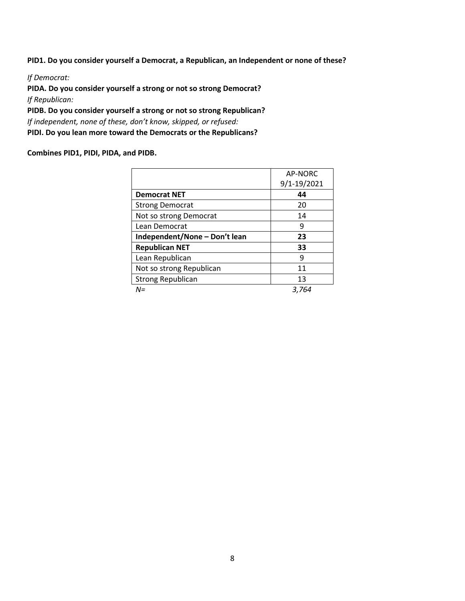**PID1. Do you consider yourself a Democrat, a Republican, an Independent or none of these?**

*If Democrat:*

**PIDA. Do you consider yourself a strong or not so strong Democrat?** *If Republican:*

**PIDB. Do you consider yourself a strong or not so strong Republican?** *If independent, none of these, don't know, skipped, or refused:*  **PIDI. Do you lean more toward the Democrats or the Republicans?**

#### **Combines PID1, PIDI, PIDA, and PIDB.**

|                               | AP-NORC     |
|-------------------------------|-------------|
|                               | 9/1-19/2021 |
| <b>Democrat NET</b>           | 44          |
| <b>Strong Democrat</b>        | 20          |
| Not so strong Democrat        | 14          |
| Lean Democrat                 | 9           |
| Independent/None - Don't lean | 23          |
| <b>Republican NET</b>         | 33          |
| Lean Republican               | 9           |
| Not so strong Republican      | 11          |
| <b>Strong Republican</b>      | 13          |
| N=                            | 3.764       |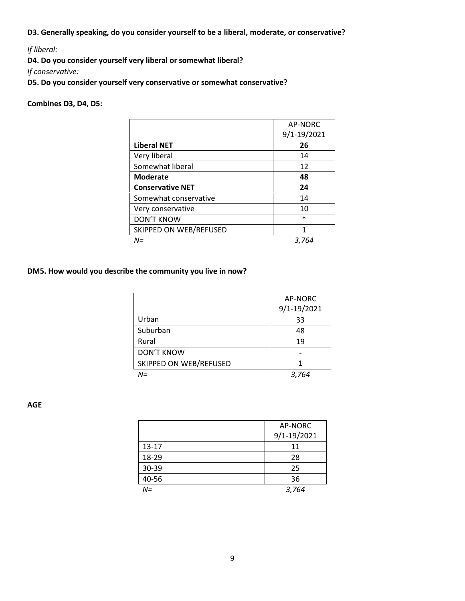**D3. Generally speaking, do you consider yourself to be a liberal, moderate, or conservative?**

*If liberal:* 

**D4. Do you consider yourself very liberal or somewhat liberal?** 

*If conservative:* 

**D5. Do you consider yourself very conservative or somewhat conservative?** 

#### **Combines D3, D4, D5:**

|                         | AP-NORC     |
|-------------------------|-------------|
|                         | 9/1-19/2021 |
| <b>Liberal NET</b>      | 26          |
| Very liberal            | 14          |
| Somewhat liberal        | 12          |
| <b>Moderate</b>         | 48          |
| <b>Conservative NET</b> | 24          |
| Somewhat conservative   | 14          |
| Very conservative       | 10          |
| <b>DON'T KNOW</b>       | $\ast$      |
| SKIPPED ON WEB/REFUSED  | 1           |
| $N =$                   | 3,764       |

#### **DM5. How would you describe the community you live in now?**

|                        | AP-NORC     |
|------------------------|-------------|
|                        | 9/1-19/2021 |
| Urban                  | 33          |
| Suburban               | 48          |
| Rural                  | 19          |
| <b>DON'T KNOW</b>      |             |
| SKIPPED ON WEB/REFUSED |             |
| N=                     | 3,764       |

**AGE**

|           | AP-NORC     |
|-----------|-------------|
|           | 9/1-19/2021 |
| $13 - 17$ | 11          |
| 18-29     | 28          |
| 30-39     | 25          |
| 40-56     | 36          |
| $N =$     | 3,764       |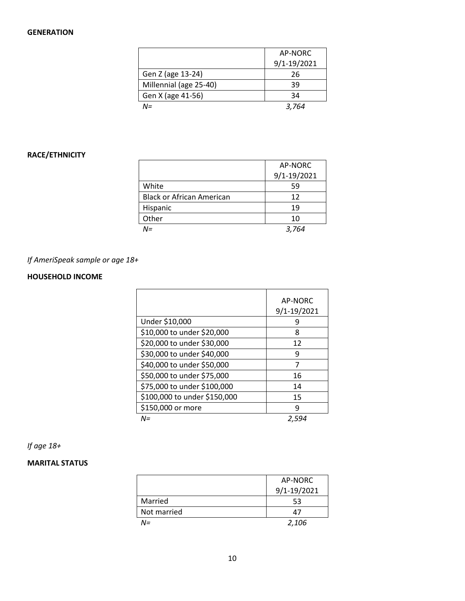## **GENERATION**

|                        | AP-NORC     |
|------------------------|-------------|
|                        | 9/1-19/2021 |
| Gen Z (age 13-24)      | 26          |
| Millennial (age 25-40) | 39          |
| Gen X (age 41-56)      | 34          |
| $N =$                  | 3.764       |

## **RACE/ETHNICITY**

|                                  | AP-NORC     |
|----------------------------------|-------------|
|                                  | 9/1-19/2021 |
| White                            | 59          |
| <b>Black or African American</b> | 12          |
| Hispanic                         | 19          |
| Other                            | 10          |
| N=                               | 3.764       |

# *If AmeriSpeak sample or age 18+*

## **HOUSEHOLD INCOME**

|                              | <b>AP-NORC</b><br>9/1-19/2021 |
|------------------------------|-------------------------------|
| Under \$10,000               | q                             |
| \$10,000 to under \$20,000   | 8                             |
| \$20,000 to under \$30,000   | 12                            |
| \$30,000 to under \$40,000   | 9                             |
| \$40,000 to under \$50,000   | 7                             |
| \$50,000 to under \$75,000   | 16                            |
| \$75,000 to under \$100,000  | 14                            |
| \$100,000 to under \$150,000 | 15                            |
| \$150,000 or more            | q                             |
| $N =$                        | 2.594                         |

# *If age 18+*

## **MARITAL STATUS**

|             | AP-NORC         |
|-------------|-----------------|
|             | $9/1 - 19/2021$ |
| Married     | 53              |
| Not married | 47              |
| N=          | 2,106           |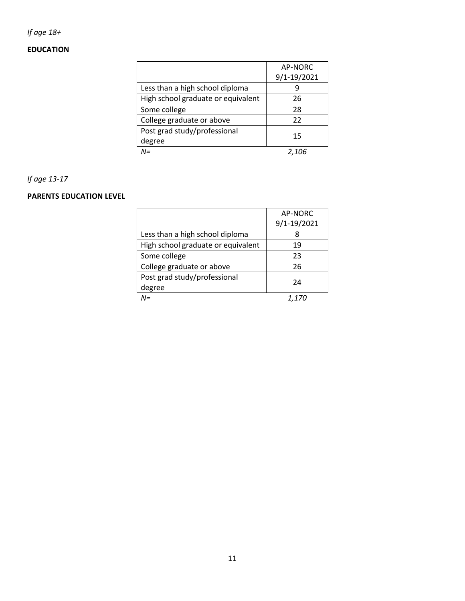# *If age 18+*

## **EDUCATION**

|                                    | AP-NORC     |
|------------------------------------|-------------|
|                                    | 9/1-19/2021 |
| Less than a high school diploma    |             |
| High school graduate or equivalent | 26          |
| Some college                       | 28          |
| College graduate or above          | 22          |
| Post grad study/professional       | 15          |
| degree                             |             |
| N=                                 |             |

## *If age 13-17*

## **PARENTS EDUCATION LEVEL**

|                                    | AP-NORC      |
|------------------------------------|--------------|
|                                    | 9/1-19/2021  |
| Less than a high school diploma    |              |
| High school graduate or equivalent | 19           |
| Some college                       | 23           |
| College graduate or above          | 26           |
| Post grad study/professional       | 24           |
| degree                             |              |
| $\mathsf{N}\mathsf{=}$             | <i>1.170</i> |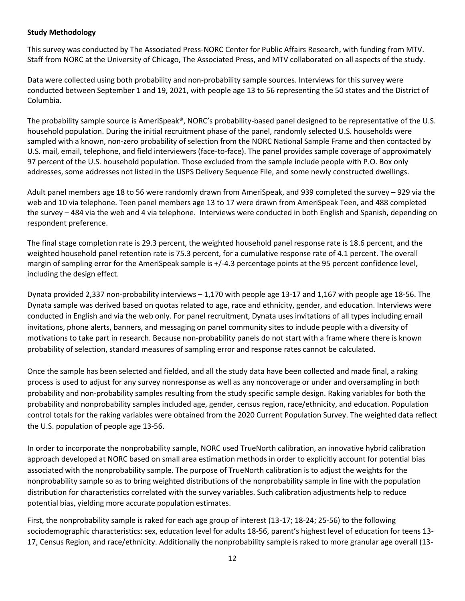#### **Study Methodology**

This survey was conducted by The Associated Press-NORC Center for Public Affairs Research, with funding from MTV. Staff from NORC at the University of Chicago, The Associated Press, and MTV collaborated on all aspects of the study.

Data were collected using both probability and non-probability sample sources. Interviews for this survey were conducted between September 1 and 19, 2021, with people age 13 to 56 representing the 50 states and the District of Columbia.

The probability sample source is AmeriSpeak®, NORC's probability-based panel designed to be representative of the U.S. household population. During the initial recruitment phase of the panel, randomly selected U.S. households were sampled with a known, non-zero probability of selection from the NORC National Sample Frame and then contacted by U.S. mail, email, telephone, and field interviewers (face-to-face). The panel provides sample coverage of approximately 97 percent of the U.S. household population. Those excluded from the sample include people with P.O. Box only addresses, some addresses not listed in the USPS Delivery Sequence File, and some newly constructed dwellings.

Adult panel members age 18 to 56 were randomly drawn from AmeriSpeak, and 939 completed the survey – 929 via the web and 10 via telephone. Teen panel members age 13 to 17 were drawn from AmeriSpeak Teen, and 488 completed the survey – 484 via the web and 4 via telephone. Interviews were conducted in both English and Spanish, depending on respondent preference.

The final stage completion rate is 29.3 percent, the weighted household panel response rate is 18.6 percent, and the weighted household panel retention rate is 75.3 percent, for a cumulative response rate of 4.1 percent. The overall margin of sampling error for the AmeriSpeak sample is  $+/-4.3$  percentage points at the 95 percent confidence level, including the design effect.

Dynata provided 2,337 non-probability interviews – 1,170 with people age 13-17 and 1,167 with people age 18-56. The Dynata sample was derived based on quotas related to age, race and ethnicity, gender, and education. Interviews were conducted in English and via the web only. For panel recruitment, Dynata uses invitations of all types including email invitations, phone alerts, banners, and messaging on panel community sites to include people with a diversity of motivations to take part in research. Because non-probability panels do not start with a frame where there is known probability of selection, standard measures of sampling error and response rates cannot be calculated.

Once the sample has been selected and fielded, and all the study data have been collected and made final, a raking process is used to adjust for any survey nonresponse as well as any noncoverage or under and oversampling in both probability and non-probability samples resulting from the study specific sample design. Raking variables for both the probability and nonprobability samples included age, gender, census region, race/ethnicity, and education. Population control totals for the raking variables were obtained from the 2020 Current Population Survey. The weighted data reflect the U.S. population of people age 13-56.

In order to incorporate the nonprobability sample, NORC used TrueNorth calibration, an innovative hybrid calibration approach developed at NORC based on small area estimation methods in order to explicitly account for potential bias associated with the nonprobability sample. The purpose of TrueNorth calibration is to adjust the weights for the nonprobability sample so as to bring weighted distributions of the nonprobability sample in line with the population distribution for characteristics correlated with the survey variables. Such calibration adjustments help to reduce potential bias, yielding more accurate population estimates.

First, the nonprobability sample is raked for each age group of interest (13-17; 18-24; 25-56) to the following sociodemographic characteristics: sex, education level for adults 18-56, parent's highest level of education for teens 13- 17, Census Region, and race/ethnicity. Additionally the nonprobability sample is raked to more granular age overall (13-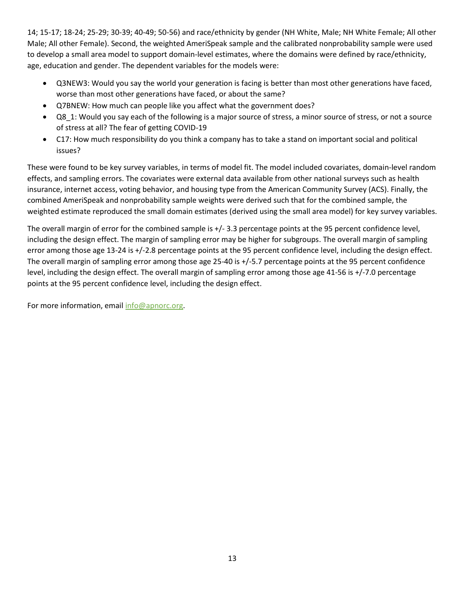14; 15-17; 18-24; 25-29; 30-39; 40-49; 50-56) and race/ethnicity by gender (NH White, Male; NH White Female; All other Male; All other Female). Second, the weighted AmeriSpeak sample and the calibrated nonprobability sample were used to develop a small area model to support domain-level estimates, where the domains were defined by race/ethnicity, age, education and gender. The dependent variables for the models were:

- Q3NEW3: Would you say the world your generation is facing is better than most other generations have faced, worse than most other generations have faced, or about the same?
- Q7BNEW: How much can people like you affect what the government does?
- Q8\_1: Would you say each of the following is a major source of stress, a minor source of stress, or not a source of stress at all? The fear of getting COVID-19
- C17: How much responsibility do you think a company has to take a stand on important social and political issues?

These were found to be key survey variables, in terms of model fit. The model included covariates, domain-level random effects, and sampling errors. The covariates were external data available from other national surveys such as health insurance, internet access, voting behavior, and housing type from the American Community Survey (ACS). Finally, the combined AmeriSpeak and nonprobability sample weights were derived such that for the combined sample, the weighted estimate reproduced the small domain estimates (derived using the small area model) for key survey variables.

The overall margin of error for the combined sample is +/- 3.3 percentage points at the 95 percent confidence level, including the design effect. The margin of sampling error may be higher for subgroups. The overall margin of sampling error among those age 13-24 is +/-2.8 percentage points at the 95 percent confidence level, including the design effect. The overall margin of sampling error among those age 25-40 is +/-5.7 percentage points at the 95 percent confidence level, including the design effect. The overall margin of sampling error among those age 41-56 is +/-7.0 percentage points at the 95 percent confidence level, including the design effect.

For more information, email [info@apnorc.org.](mailto:info@apnorc.org)